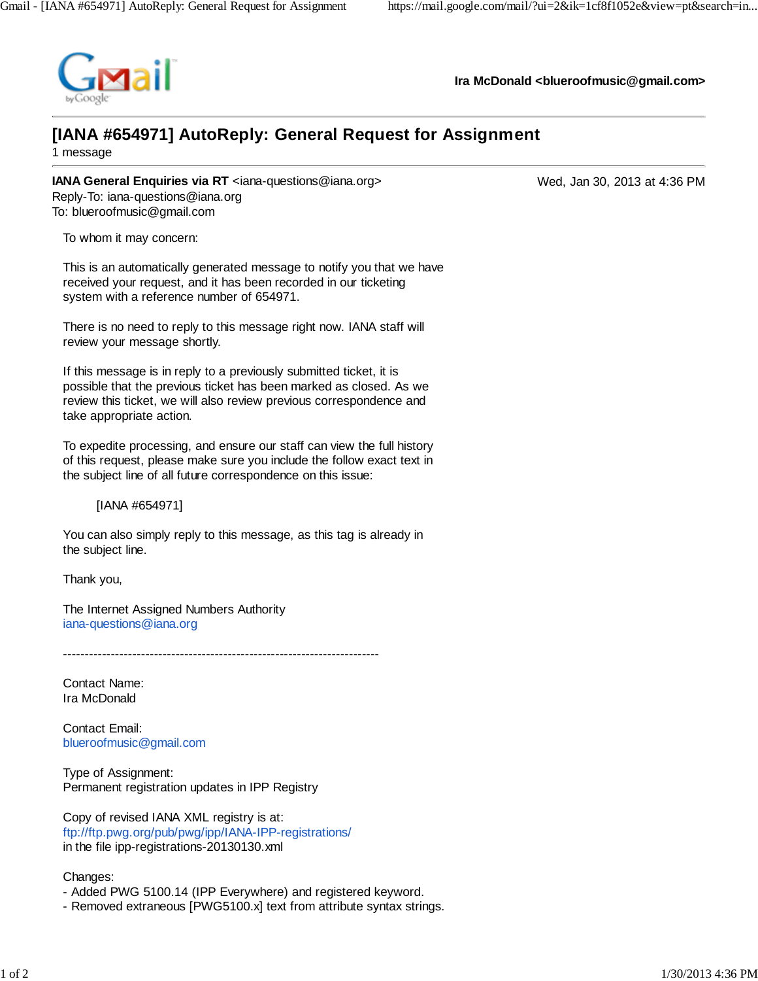

**Ira McDonald <blueroofmusic@gmail.com>**

## **[IANA #654971] AutoReply: General Request for Assignment**

1 message

**IANA General Enquiries via RT** <iana-questions@iana.org> Wed, Jan 30, 2013 at 4:36 PM Reply-To: iana-questions@iana.org To: blueroofmusic@gmail.com

To whom it may concern:

This is an automatically generated message to notify you that we have received your request, and it has been recorded in our ticketing system with a reference number of 654971.

There is no need to reply to this message right now. IANA staff will review your message shortly.

If this message is in reply to a previously submitted ticket, it is possible that the previous ticket has been marked as closed. As we review this ticket, we will also review previous correspondence and take appropriate action.

To expedite processing, and ensure our staff can view the full history of this request, please make sure you include the follow exact text in the subject line of all future correspondence on this issue:

[IANA #654971]

You can also simply reply to this message, as this tag is already in the subject line.

Thank you,

The Internet Assigned Numbers Authority iana-questions@iana.org

-------------------------------------------------------------------------

Contact Name: Ira McDonald

Contact Email: blueroofmusic@gmail.com

Type of Assignment: Permanent registration updates in IPP Registry

Copy of revised IANA XML registry is at: ftp://ftp.pwg.org/pub/pwg/ipp/IANA-IPP-registrations/ in the file ipp-registrations-20130130.xml

Changes:

- Added PWG 5100.14 (IPP Everywhere) and registered keyword.
- Removed extraneous [PWG5100.x] text from attribute syntax strings.